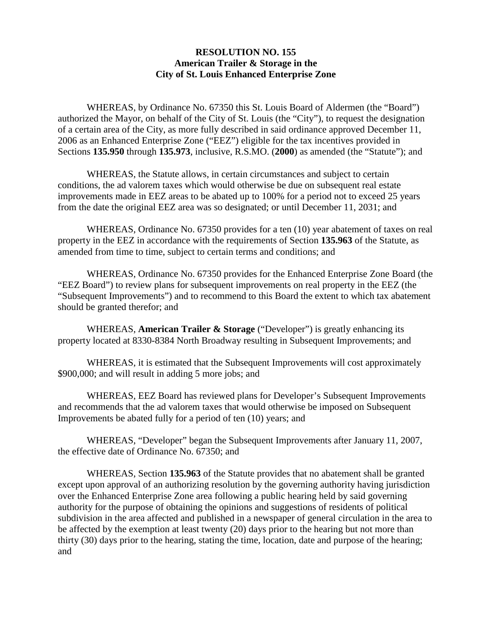## **RESOLUTION NO. 155 American Trailer & Storage in the City of St. Louis Enhanced Enterprise Zone**

 WHEREAS, by Ordinance No. 67350 this St. Louis Board of Aldermen (the "Board") authorized the Mayor, on behalf of the City of St. Louis (the "City"), to request the designation of a certain area of the City, as more fully described in said ordinance approved December 11, 2006 as an Enhanced Enterprise Zone ("EEZ") eligible for the tax incentives provided in Sections **135.950** through **135.973**, inclusive, R.S.MO. (**2000**) as amended (the "Statute"); and

 WHEREAS, the Statute allows, in certain circumstances and subject to certain conditions, the ad valorem taxes which would otherwise be due on subsequent real estate improvements made in EEZ areas to be abated up to 100% for a period not to exceed 25 years from the date the original EEZ area was so designated; or until December 11, 2031; and

 WHEREAS, Ordinance No. 67350 provides for a ten (10) year abatement of taxes on real property in the EEZ in accordance with the requirements of Section **135.963** of the Statute, as amended from time to time, subject to certain terms and conditions; and

 WHEREAS, Ordinance No. 67350 provides for the Enhanced Enterprise Zone Board (the "EEZ Board") to review plans for subsequent improvements on real property in the EEZ (the "Subsequent Improvements") and to recommend to this Board the extent to which tax abatement should be granted therefor; and

 WHEREAS, **American Trailer & Storage** ("Developer") is greatly enhancing its property located at 8330-8384 North Broadway resulting in Subsequent Improvements; and

 WHEREAS, it is estimated that the Subsequent Improvements will cost approximately \$900,000; and will result in adding 5 more jobs; and

 WHEREAS, EEZ Board has reviewed plans for Developer's Subsequent Improvements and recommends that the ad valorem taxes that would otherwise be imposed on Subsequent Improvements be abated fully for a period of ten (10) years; and

 WHEREAS, "Developer" began the Subsequent Improvements after January 11, 2007, the effective date of Ordinance No. 67350; and

 WHEREAS, Section **135.963** of the Statute provides that no abatement shall be granted except upon approval of an authorizing resolution by the governing authority having jurisdiction over the Enhanced Enterprise Zone area following a public hearing held by said governing authority for the purpose of obtaining the opinions and suggestions of residents of political subdivision in the area affected and published in a newspaper of general circulation in the area to be affected by the exemption at least twenty (20) days prior to the hearing but not more than thirty (30) days prior to the hearing, stating the time, location, date and purpose of the hearing; and